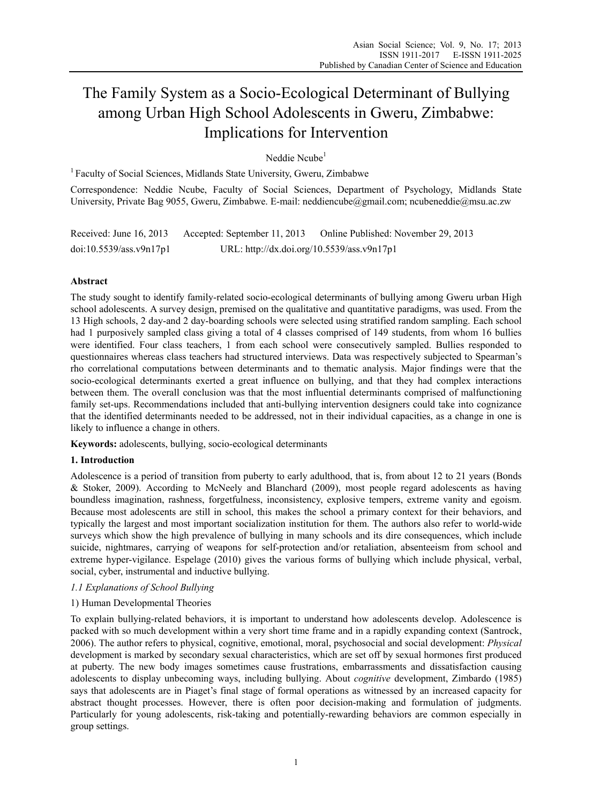# The Family System as a Socio-Ecological Determinant of Bullying among Urban High School Adolescents in Gweru, Zimbabwe: Implications for Intervention

Neddie Ncube<sup>1</sup>

1 Faculty of Social Sciences, Midlands State University, Gweru, Zimbabwe

Correspondence: Neddie Ncube, Faculty of Social Sciences, Department of Psychology, Midlands State University, Private Bag 9055, Gweru, Zimbabwe. E-mail: neddiencube@gmail.com; ncubeneddie@msu.ac.zw

Received: June 16, 2013 Accepted: September 11, 2013 Online Published: November 29, 2013 doi:10.5539/ass.v9n17p1 URL: http://dx.doi.org/10.5539/ass.v9n17p1

# **Abstract**

The study sought to identify family-related socio-ecological determinants of bullying among Gweru urban High school adolescents. A survey design, premised on the qualitative and quantitative paradigms, was used. From the 13 High schools, 2 day-and 2 day-boarding schools were selected using stratified random sampling. Each school had 1 purposively sampled class giving a total of 4 classes comprised of 149 students, from whom 16 bullies were identified. Four class teachers, 1 from each school were consecutively sampled. Bullies responded to questionnaires whereas class teachers had structured interviews. Data was respectively subjected to Spearman's rho correlational computations between determinants and to thematic analysis. Major findings were that the socio-ecological determinants exerted a great influence on bullying, and that they had complex interactions between them. The overall conclusion was that the most influential determinants comprised of malfunctioning family set-ups. Recommendations included that anti-bullying intervention designers could take into cognizance that the identified determinants needed to be addressed, not in their individual capacities, as a change in one is likely to influence a change in others.

**Keywords:** adolescents, bullying, socio-ecological determinants

# **1. Introduction**

Adolescence is a period of transition from puberty to early adulthood, that is, from about 12 to 21 years (Bonds & Stoker, 2009). According to McNeely and Blanchard (2009), most people regard adolescents as having boundless imagination, rashness, forgetfulness, inconsistency, explosive tempers, extreme vanity and egoism. Because most adolescents are still in school, this makes the school a primary context for their behaviors, and typically the largest and most important socialization institution for them. The authors also refer to world-wide surveys which show the high prevalence of bullying in many schools and its dire consequences, which include suicide, nightmares, carrying of weapons for self-protection and/or retaliation, absenteeism from school and extreme hyper-vigilance. Espelage (2010) gives the various forms of bullying which include physical, verbal, social, cyber, instrumental and inductive bullying.

# *1.1 Explanations of School Bullying*

# 1) Human Developmental Theories

To explain bullying-related behaviors, it is important to understand how adolescents develop. Adolescence is packed with so much development within a very short time frame and in a rapidly expanding context (Santrock, 2006). The author refers to physical, cognitive, emotional, moral, psychosocial and social development: *Physical* development is marked by secondary sexual characteristics, which are set off by sexual hormones first produced at puberty. The new body images sometimes cause frustrations, embarrassments and dissatisfaction causing adolescents to display unbecoming ways, including bullying. About *cognitive* development, Zimbardo (1985) says that adolescents are in Piaget's final stage of formal operations as witnessed by an increased capacity for abstract thought processes. However, there is often poor decision-making and formulation of judgments. Particularly for young adolescents, risk-taking and potentially-rewarding behaviors are common especially in group settings.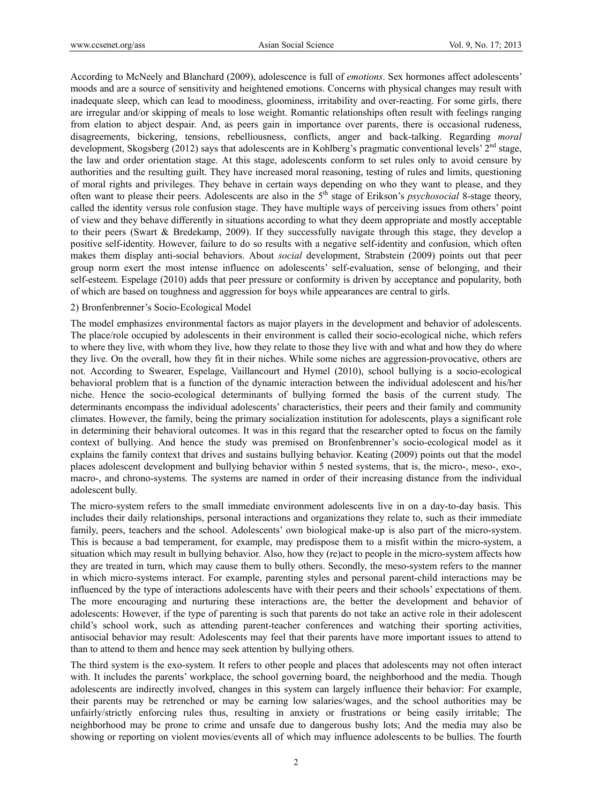According to McNeely and Blanchard (2009), adolescence is full of *emotions*. Sex hormones affect adolescents' moods and are a source of sensitivity and heightened emotions. Concerns with physical changes may result with inadequate sleep, which can lead to moodiness, gloominess, irritability and over-reacting. For some girls, there are irregular and/or skipping of meals to lose weight. Romantic relationships often result with feelings ranging from elation to abject despair. And, as peers gain in importance over parents, there is occasional rudeness, disagreements, bickering, tensions, rebelliousness, conflicts, anger and back-talking. Regarding *moral* development, Skogsberg (2012) says that adolescents are in Kohlberg's pragmatic conventional levels'  $2<sup>nd</sup>$  stage, the law and order orientation stage. At this stage, adolescents conform to set rules only to avoid censure by authorities and the resulting guilt. They have increased moral reasoning, testing of rules and limits, questioning of moral rights and privileges. They behave in certain ways depending on who they want to please, and they often want to please their peers. Adolescents are also in the 5th stage of Erikson's *psychosocial* 8-stage theory, called the identity versus role confusion stage. They have multiple ways of perceiving issues from others' point of view and they behave differently in situations according to what they deem appropriate and mostly acceptable to their peers (Swart & Bredekamp, 2009). If they successfully navigate through this stage, they develop a positive self-identity. However, failure to do so results with a negative self-identity and confusion, which often makes them display anti-social behaviors. About *social* development, Strabstein (2009) points out that peer group norm exert the most intense influence on adolescents' self-evaluation, sense of belonging, and their self-esteem. Espelage (2010) adds that peer pressure or conformity is driven by acceptance and popularity, both of which are based on toughness and aggression for boys while appearances are central to girls.

#### 2) Bronfenbrenner's Socio-Ecological Model

The model emphasizes environmental factors as major players in the development and behavior of adolescents. The place/role occupied by adolescents in their environment is called their socio-ecological niche, which refers to where they live, with whom they live, how they relate to those they live with and what and how they do where they live. On the overall, how they fit in their niches. While some niches are aggression-provocative, others are not. According to Swearer, Espelage, Vaillancourt and Hymel (2010), school bullying is a socio-ecological behavioral problem that is a function of the dynamic interaction between the individual adolescent and his/her niche. Hence the socio-ecological determinants of bullying formed the basis of the current study. The determinants encompass the individual adolescents' characteristics, their peers and their family and community climates. However, the family, being the primary socialization institution for adolescents, plays a significant role in determining their behavioral outcomes. It was in this regard that the researcher opted to focus on the family context of bullying. And hence the study was premised on Bronfenbrenner's socio-ecological model as it explains the family context that drives and sustains bullying behavior. Keating (2009) points out that the model places adolescent development and bullying behavior within 5 nested systems, that is, the micro-, meso-, exo-, macro-, and chrono-systems. The systems are named in order of their increasing distance from the individual adolescent bully.

The micro-system refers to the small immediate environment adolescents live in on a day-to-day basis. This includes their daily relationships, personal interactions and organizations they relate to, such as their immediate family, peers, teachers and the school. Adolescents' own biological make-up is also part of the micro-system. This is because a bad temperament, for example, may predispose them to a misfit within the micro-system, a situation which may result in bullying behavior. Also, how they (re)act to people in the micro-system affects how they are treated in turn, which may cause them to bully others. Secondly, the meso-system refers to the manner in which micro-systems interact. For example, parenting styles and personal parent-child interactions may be influenced by the type of interactions adolescents have with their peers and their schools' expectations of them. The more encouraging and nurturing these interactions are, the better the development and behavior of adolescents: However, if the type of parenting is such that parents do not take an active role in their adolescent child's school work, such as attending parent-teacher conferences and watching their sporting activities, antisocial behavior may result: Adolescents may feel that their parents have more important issues to attend to than to attend to them and hence may seek attention by bullying others.

The third system is the exo-system. It refers to other people and places that adolescents may not often interact with. It includes the parents' workplace, the school governing board, the neighborhood and the media. Though adolescents are indirectly involved, changes in this system can largely influence their behavior: For example, their parents may be retrenched or may be earning low salaries/wages, and the school authorities may be unfairly/strictly enforcing rules thus, resulting in anxiety or frustrations or being easily irritable; The neighborhood may be prone to crime and unsafe due to dangerous bushy lots; And the media may also be showing or reporting on violent movies/events all of which may influence adolescents to be bullies. The fourth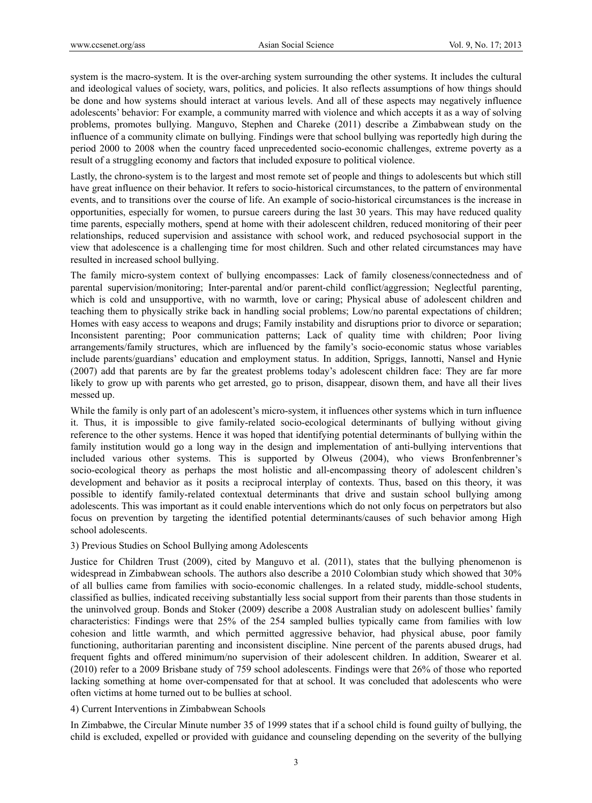system is the macro-system. It is the over-arching system surrounding the other systems. It includes the cultural and ideological values of society, wars, politics, and policies. It also reflects assumptions of how things should be done and how systems should interact at various levels. And all of these aspects may negatively influence adolescents' behavior: For example, a community marred with violence and which accepts it as a way of solving problems, promotes bullying. Manguvo, Stephen and Chareke (2011) describe a Zimbabwean study on the influence of a community climate on bullying. Findings were that school bullying was reportedly high during the period 2000 to 2008 when the country faced unprecedented socio-economic challenges, extreme poverty as a result of a struggling economy and factors that included exposure to political violence.

Lastly, the chrono-system is to the largest and most remote set of people and things to adolescents but which still have great influence on their behavior. It refers to socio-historical circumstances, to the pattern of environmental events, and to transitions over the course of life. An example of socio-historical circumstances is the increase in opportunities, especially for women, to pursue careers during the last 30 years. This may have reduced quality time parents, especially mothers, spend at home with their adolescent children, reduced monitoring of their peer relationships, reduced supervision and assistance with school work, and reduced psychosocial support in the view that adolescence is a challenging time for most children. Such and other related circumstances may have resulted in increased school bullying.

The family micro-system context of bullying encompasses: Lack of family closeness/connectedness and of parental supervision/monitoring; Inter-parental and/or parent-child conflict/aggression; Neglectful parenting, which is cold and unsupportive, with no warmth, love or caring; Physical abuse of adolescent children and teaching them to physically strike back in handling social problems; Low/no parental expectations of children; Homes with easy access to weapons and drugs; Family instability and disruptions prior to divorce or separation; Inconsistent parenting; Poor communication patterns; Lack of quality time with children; Poor living arrangements/family structures, which are influenced by the family's socio-economic status whose variables include parents/guardians' education and employment status. In addition, Spriggs, Iannotti, Nansel and Hynie (2007) add that parents are by far the greatest problems today's adolescent children face: They are far more likely to grow up with parents who get arrested, go to prison, disappear, disown them, and have all their lives messed up.

While the family is only part of an adolescent's micro-system, it influences other systems which in turn influence it. Thus, it is impossible to give family-related socio-ecological determinants of bullying without giving reference to the other systems. Hence it was hoped that identifying potential determinants of bullying within the family institution would go a long way in the design and implementation of anti-bullying interventions that included various other systems. This is supported by Olweus (2004), who views Bronfenbrenner's socio-ecological theory as perhaps the most holistic and all-encompassing theory of adolescent children's development and behavior as it posits a reciprocal interplay of contexts. Thus, based on this theory, it was possible to identify family-related contextual determinants that drive and sustain school bullying among adolescents. This was important as it could enable interventions which do not only focus on perpetrators but also focus on prevention by targeting the identified potential determinants/causes of such behavior among High school adolescents.

#### 3) Previous Studies on School Bullying among Adolescents

Justice for Children Trust (2009), cited by Manguvo et al. (2011), states that the bullying phenomenon is widespread in Zimbabwean schools. The authors also describe a 2010 Colombian study which showed that 30% of all bullies came from families with socio-economic challenges. In a related study, middle-school students, classified as bullies, indicated receiving substantially less social support from their parents than those students in the uninvolved group. Bonds and Stoker (2009) describe a 2008 Australian study on adolescent bullies' family characteristics: Findings were that 25% of the 254 sampled bullies typically came from families with low cohesion and little warmth, and which permitted aggressive behavior, had physical abuse, poor family functioning, authoritarian parenting and inconsistent discipline. Nine percent of the parents abused drugs, had frequent fights and offered minimum/no supervision of their adolescent children. In addition, Swearer et al. (2010) refer to a 2009 Brisbane study of 759 school adolescents. Findings were that 26% of those who reported lacking something at home over-compensated for that at school. It was concluded that adolescents who were often victims at home turned out to be bullies at school.

#### 4) Current Interventions in Zimbabwean Schools

In Zimbabwe, the Circular Minute number 35 of 1999 states that if a school child is found guilty of bullying, the child is excluded, expelled or provided with guidance and counseling depending on the severity of the bullying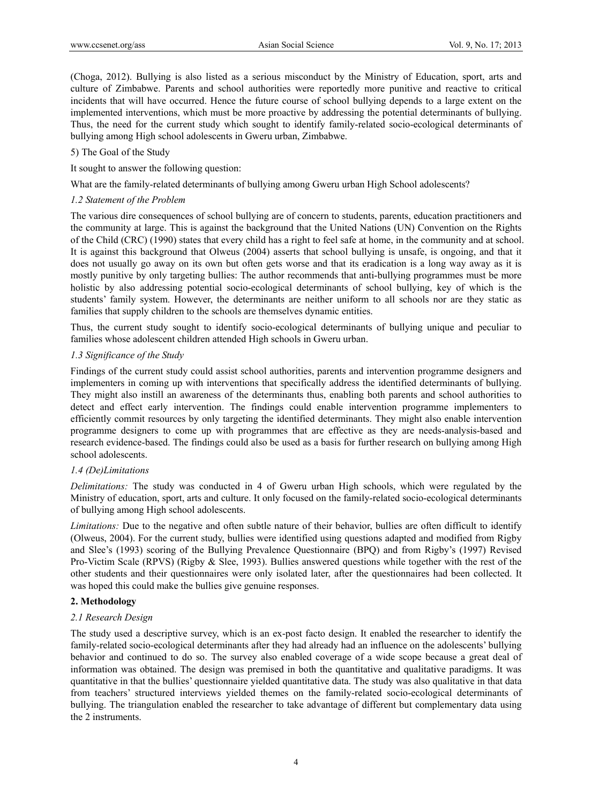(Choga, 2012). Bullying is also listed as a serious misconduct by the Ministry of Education, sport, arts and culture of Zimbabwe. Parents and school authorities were reportedly more punitive and reactive to critical incidents that will have occurred. Hence the future course of school bullying depends to a large extent on the implemented interventions, which must be more proactive by addressing the potential determinants of bullying. Thus, the need for the current study which sought to identify family-related socio-ecological determinants of bullying among High school adolescents in Gweru urban, Zimbabwe.

# 5) The Goal of the Study

It sought to answer the following question:

What are the family-related determinants of bullying among Gweru urban High School adolescents?

# *1.2 Statement of the Problem*

The various dire consequences of school bullying are of concern to students, parents, education practitioners and the community at large. This is against the background that the United Nations (UN) Convention on the Rights of the Child (CRC) (1990) states that every child has a right to feel safe at home, in the community and at school. It is against this background that Olweus (2004) asserts that school bullying is unsafe, is ongoing, and that it does not usually go away on its own but often gets worse and that its eradication is a long way away as it is mostly punitive by only targeting bullies: The author recommends that anti-bullying programmes must be more holistic by also addressing potential socio-ecological determinants of school bullying, key of which is the students' family system. However, the determinants are neither uniform to all schools nor are they static as families that supply children to the schools are themselves dynamic entities.

Thus, the current study sought to identify socio-ecological determinants of bullying unique and peculiar to families whose adolescent children attended High schools in Gweru urban.

# *1.3 Significance of the Study*

Findings of the current study could assist school authorities, parents and intervention programme designers and implementers in coming up with interventions that specifically address the identified determinants of bullying. They might also instill an awareness of the determinants thus, enabling both parents and school authorities to detect and effect early intervention. The findings could enable intervention programme implementers to efficiently commit resources by only targeting the identified determinants. They might also enable intervention programme designers to come up with programmes that are effective as they are needs-analysis-based and research evidence-based. The findings could also be used as a basis for further research on bullying among High school adolescents.

# *1.4 (De)Limitations*

*Delimitations:* The study was conducted in 4 of Gweru urban High schools, which were regulated by the Ministry of education, sport, arts and culture. It only focused on the family-related socio-ecological determinants of bullying among High school adolescents.

*Limitations:* Due to the negative and often subtle nature of their behavior, bullies are often difficult to identify (Olweus, 2004). For the current study, bullies were identified using questions adapted and modified from Rigby and Slee's (1993) scoring of the Bullying Prevalence Questionnaire (BPQ) and from Rigby's (1997) Revised Pro-Victim Scale (RPVS) (Rigby & Slee, 1993). Bullies answered questions while together with the rest of the other students and their questionnaires were only isolated later, after the questionnaires had been collected. It was hoped this could make the bullies give genuine responses.

# **2. Methodology**

# *2.1 Research Design*

The study used a descriptive survey, which is an ex-post facto design. It enabled the researcher to identify the family-related socio-ecological determinants after they had already had an influence on the adolescents' bullying behavior and continued to do so. The survey also enabled coverage of a wide scope because a great deal of information was obtained. The design was premised in both the quantitative and qualitative paradigms. It was quantitative in that the bullies' questionnaire yielded quantitative data. The study was also qualitative in that data from teachers' structured interviews yielded themes on the family-related socio-ecological determinants of bullying. The triangulation enabled the researcher to take advantage of different but complementary data using the 2 instruments.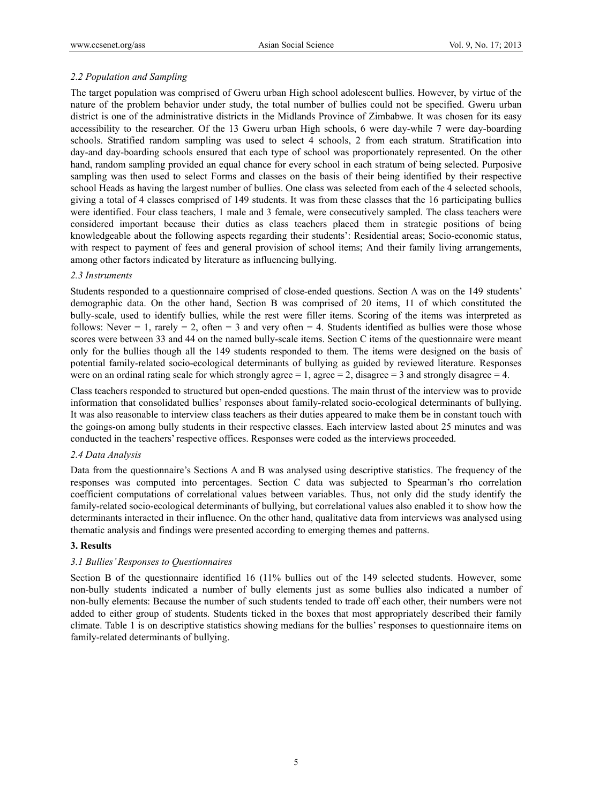# *2.2 Population and Sampling*

The target population was comprised of Gweru urban High school adolescent bullies. However, by virtue of the nature of the problem behavior under study, the total number of bullies could not be specified. Gweru urban district is one of the administrative districts in the Midlands Province of Zimbabwe. It was chosen for its easy accessibility to the researcher. Of the 13 Gweru urban High schools, 6 were day-while 7 were day-boarding schools. Stratified random sampling was used to select 4 schools, 2 from each stratum. Stratification into day-and day-boarding schools ensured that each type of school was proportionately represented. On the other hand, random sampling provided an equal chance for every school in each stratum of being selected. Purposive sampling was then used to select Forms and classes on the basis of their being identified by their respective school Heads as having the largest number of bullies. One class was selected from each of the 4 selected schools, giving a total of 4 classes comprised of 149 students. It was from these classes that the 16 participating bullies were identified. Four class teachers, 1 male and 3 female, were consecutively sampled. The class teachers were considered important because their duties as class teachers placed them in strategic positions of being knowledgeable about the following aspects regarding their students': Residential areas; Socio-economic status, with respect to payment of fees and general provision of school items; And their family living arrangements, among other factors indicated by literature as influencing bullying.

# *2.3 Instruments*

Students responded to a questionnaire comprised of close-ended questions. Section A was on the 149 students' demographic data. On the other hand, Section B was comprised of 20 items, 11 of which constituted the bully-scale, used to identify bullies, while the rest were filler items. Scoring of the items was interpreted as follows: Never = 1, rarely = 2, often = 3 and very often = 4. Students identified as bullies were those whose scores were between 33 and 44 on the named bully-scale items. Section C items of the questionnaire were meant only for the bullies though all the 149 students responded to them. The items were designed on the basis of potential family-related socio-ecological determinants of bullying as guided by reviewed literature. Responses were on an ordinal rating scale for which strongly agree  $= 1$ , agree  $= 2$ , disagree  $= 3$  and strongly disagree  $= 4$ .

Class teachers responded to structured but open-ended questions. The main thrust of the interview was to provide information that consolidated bullies' responses about family-related socio-ecological determinants of bullying. It was also reasonable to interview class teachers as their duties appeared to make them be in constant touch with the goings-on among bully students in their respective classes. Each interview lasted about 25 minutes and was conducted in the teachers' respective offices. Responses were coded as the interviews proceeded.

# *2.4 Data Analysis*

Data from the questionnaire's Sections A and B was analysed using descriptive statistics. The frequency of the responses was computed into percentages. Section C data was subjected to Spearman's rho correlation coefficient computations of correlational values between variables. Thus, not only did the study identify the family-related socio-ecological determinants of bullying, but correlational values also enabled it to show how the determinants interacted in their influence. On the other hand, qualitative data from interviews was analysed using thematic analysis and findings were presented according to emerging themes and patterns.

# **3. Results**

# *3.1 Bullies' Responses to Questionnaires*

Section B of the questionnaire identified 16 (11% bullies out of the 149 selected students. However, some non-bully students indicated a number of bully elements just as some bullies also indicated a number of non-bully elements: Because the number of such students tended to trade off each other, their numbers were not added to either group of students. Students ticked in the boxes that most appropriately described their family climate. Table 1 is on descriptive statistics showing medians for the bullies' responses to questionnaire items on family-related determinants of bullying.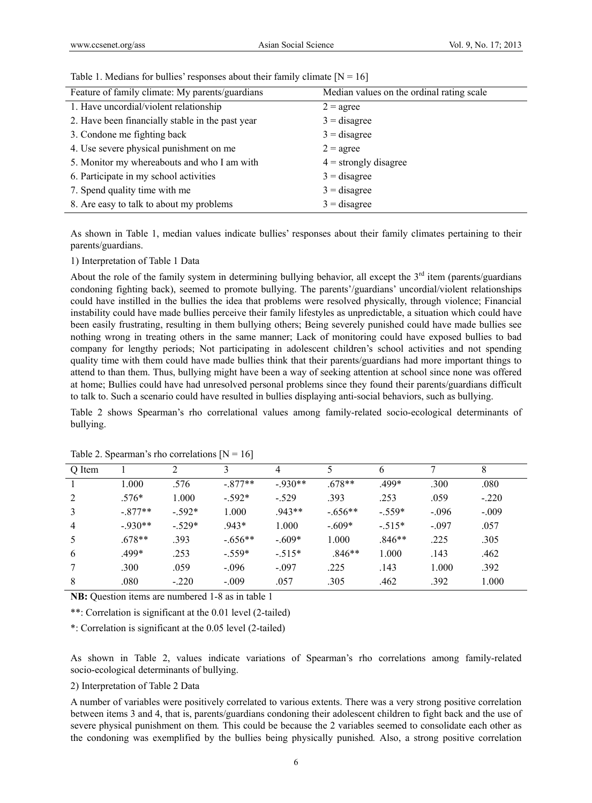| Feature of family climate: My parents/guardians  | Median values on the ordinal rating scale |
|--------------------------------------------------|-------------------------------------------|
| 1. Have uncordial/violent relationship           | $2 = \text{agree}$                        |
| 2. Have been financially stable in the past year | $3 =$ disagree                            |
| 3. Condone me fighting back                      | $3 =$ disagree                            |
| 4. Use severe physical punishment on me          | $2 = \text{agree}$                        |
| 5. Monitor my whereabouts and who I am with      | $4 =$ strongly disagree                   |
| 6. Participate in my school activities           | $3 =$ disagree                            |
| 7. Spend quality time with me                    | $3 =$ disagree                            |
| 8. Are easy to talk to about my problems         | $3 =$ disagree                            |

Table 1. Medians for bullies' responses about their family climate  $[N = 16]$ 

As shown in Table 1, median values indicate bullies' responses about their family climates pertaining to their parents/guardians.

1) Interpretation of Table 1 Data

About the role of the family system in determining bullying behavior, all except the  $3<sup>rd</sup>$  item (parents/guardians condoning fighting back), seemed to promote bullying. The parents'/guardians' uncordial/violent relationships could have instilled in the bullies the idea that problems were resolved physically, through violence; Financial instability could have made bullies perceive their family lifestyles as unpredictable, a situation which could have been easily frustrating, resulting in them bullying others; Being severely punished could have made bullies see nothing wrong in treating others in the same manner; Lack of monitoring could have exposed bullies to bad company for lengthy periods; Not participating in adolescent children's school activities and not spending quality time with them could have made bullies think that their parents/guardians had more important things to attend to than them. Thus, bullying might have been a way of seeking attention at school since none was offered at home; Bullies could have had unresolved personal problems since they found their parents/guardians difficult to talk to. Such a scenario could have resulted in bullies displaying anti-social behaviors, such as bullying.

Table 2 shows Spearman's rho correlational values among family-related socio-ecological determinants of bullying.

| Q Item |          |         |          |           |           | 6       |         | 8       |
|--------|----------|---------|----------|-----------|-----------|---------|---------|---------|
|        | 1.000    | .576    | $-877**$ | $-.930**$ | $.678**$  | .499*   | .300    | .080    |
|        | $.576*$  | 1.000   | $-592*$  | $-.529$   | .393      | .253    | .059    | $-.220$ |
|        | $-877**$ | $-592*$ | 1.000    | $.943**$  | $-.656**$ | $-559*$ | $-.096$ | $-.009$ |
| 4      | $-930**$ | $-529*$ | $.943*$  | 1.000     | $-.609*$  | $-515*$ | $-.097$ | .057    |
|        | $.678**$ | .393    | $-656**$ | $-609*$   | 1.000     | .846**  | .225    | .305    |
| 6      | .499*    | .253    | $-559*$  | $-515*$   | $.846**$  | 1.000   | .143    | .462    |
|        | .300     | .059    | $-.096$  | $-.097$   | .225      | .143    | 1.000   | .392    |
| 8      | .080     | $-.220$ | $-.009$  | .057      | .305      | .462    | .392    | 1.000   |

Table 2. Spearman's rho correlations  $[N = 16]$ 

NB: Question items are numbered 1-8 as in table 1

\*\*: Correlation is significant at the 0.01 level (2-tailed)

\*: Correlation is significant at the 0.05 level (2-tailed)

As shown in Table 2, values indicate variations of Spearman's rho correlations among family-related socio-ecological determinants of bullying.

#### 2) Interpretation of Table 2 Data

A number of variables were positively correlated to various extents. There was a very strong positive correlation between items 3 and 4, that is, parents/guardians condoning their adolescent children to fight back and the use of severe physical punishment on them*.* This could be because the 2 variables seemed to consolidate each other as the condoning was exemplified by the bullies being physically punished*.* Also, a strong positive correlation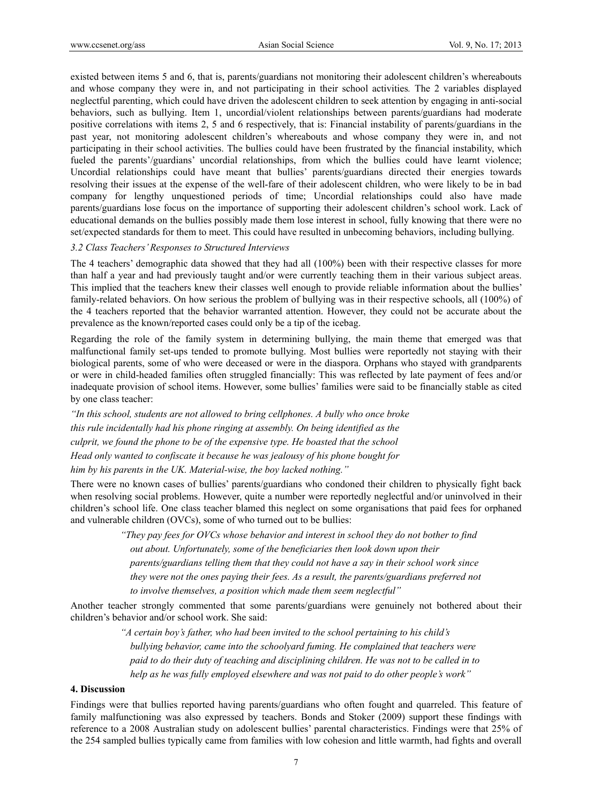existed between items 5 and 6, that is, parents/guardians not monitoring their adolescent children's whereabouts and whose company they were in, and not participating in their school activities*.* The 2 variables displayed neglectful parenting, which could have driven the adolescent children to seek attention by engaging in anti-social behaviors, such as bullying. Item 1, uncordial/violent relationships between parents/guardians had moderate positive correlations with items 2, 5 and 6 respectively, that is: Financial instability of parents/guardians in the past year, not monitoring adolescent children's whereabouts and whose company they were in, and not participating in their school activities. The bullies could have been frustrated by the financial instability, which fueled the parents'/guardians' uncordial relationships, from which the bullies could have learnt violence; Uncordial relationships could have meant that bullies' parents/guardians directed their energies towards resolving their issues at the expense of the well-fare of their adolescent children, who were likely to be in bad company for lengthy unquestioned periods of time; Uncordial relationships could also have made parents/guardians lose focus on the importance of supporting their adolescent children's school work. Lack of educational demands on the bullies possibly made them lose interest in school, fully knowing that there were no set/expected standards for them to meet. This could have resulted in unbecoming behaviors, including bullying.

# *3.2 Class Teachers' Responses to Structured Interviews*

The 4 teachers' demographic data showed that they had all (100%) been with their respective classes for more than half a year and had previously taught and/or were currently teaching them in their various subject areas. This implied that the teachers knew their classes well enough to provide reliable information about the bullies' family-related behaviors. On how serious the problem of bullying was in their respective schools, all (100%) of the 4 teachers reported that the behavior warranted attention. However, they could not be accurate about the prevalence as the known/reported cases could only be a tip of the icebag.

Regarding the role of the family system in determining bullying, the main theme that emerged was that malfunctional family set-ups tended to promote bullying. Most bullies were reportedly not staying with their biological parents, some of who were deceased or were in the diaspora. Orphans who stayed with grandparents or were in child-headed families often struggled financially: This was reflected by late payment of fees and/or inadequate provision of school items. However, some bullies' families were said to be financially stable as cited by one class teacher:

*"In this school, students are not allowed to bring cellphones. A bully who once broke this rule incidentally had his phone ringing at assembly. On being identified as the culprit, we found the phone to be of the expensive type. He boasted that the school Head only wanted to confiscate it because he was jealousy of his phone bought for him by his parents in the UK. Material-wise, the boy lacked nothing."* 

There were no known cases of bullies' parents/guardians who condoned their children to physically fight back when resolving social problems. However, quite a number were reportedly neglectful and/or uninvolved in their children's school life. One class teacher blamed this neglect on some organisations that paid fees for orphaned and vulnerable children (OVCs), some of who turned out to be bullies:

> *"They pay fees for OVCs whose behavior and interest in school they do not bother to find out about. Unfortunately, some of the beneficiaries then look down upon their parents/guardians telling them that they could not have a say in their school work since they were not the ones paying their fees. As a result, the parents/guardians preferred not to involve themselves, a position which made them seem neglectful"*

Another teacher strongly commented that some parents/guardians were genuinely not bothered about their children's behavior and/or school work. She said:

> *"A certain boy's father, who had been invited to the school pertaining to his child's bullying behavior, came into the schoolyard fuming. He complained that teachers were paid to do their duty of teaching and disciplining children. He was not to be called in to help as he was fully employed elsewhere and was not paid to do other people's work"*

# **4. Discussion**

Findings were that bullies reported having parents/guardians who often fought and quarreled. This feature of family malfunctioning was also expressed by teachers. Bonds and Stoker (2009) support these findings with reference to a 2008 Australian study on adolescent bullies' parental characteristics. Findings were that 25% of the 254 sampled bullies typically came from families with low cohesion and little warmth, had fights and overall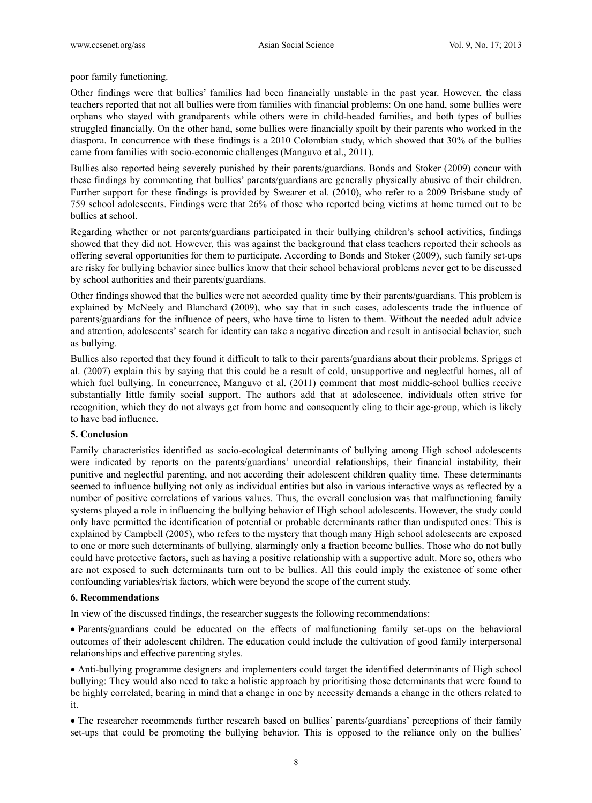poor family functioning.

Other findings were that bullies' families had been financially unstable in the past year. However, the class teachers reported that not all bullies were from families with financial problems: On one hand, some bullies were orphans who stayed with grandparents while others were in child-headed families, and both types of bullies struggled financially. On the other hand, some bullies were financially spoilt by their parents who worked in the diaspora. In concurrence with these findings is a 2010 Colombian study, which showed that 30% of the bullies came from families with socio-economic challenges (Manguvo et al., 2011).

Bullies also reported being severely punished by their parents/guardians. Bonds and Stoker (2009) concur with these findings by commenting that bullies' parents/guardians are generally physically abusive of their children. Further support for these findings is provided by Swearer et al. (2010), who refer to a 2009 Brisbane study of 759 school adolescents. Findings were that 26% of those who reported being victims at home turned out to be bullies at school.

Regarding whether or not parents/guardians participated in their bullying children's school activities, findings showed that they did not. However, this was against the background that class teachers reported their schools as offering several opportunities for them to participate. According to Bonds and Stoker (2009), such family set-ups are risky for bullying behavior since bullies know that their school behavioral problems never get to be discussed by school authorities and their parents/guardians.

Other findings showed that the bullies were not accorded quality time by their parents/guardians. This problem is explained by McNeely and Blanchard (2009), who say that in such cases, adolescents trade the influence of parents/guardians for the influence of peers, who have time to listen to them. Without the needed adult advice and attention, adolescents' search for identity can take a negative direction and result in antisocial behavior, such as bullying.

Bullies also reported that they found it difficult to talk to their parents/guardians about their problems. Spriggs et al. (2007) explain this by saying that this could be a result of cold, unsupportive and neglectful homes, all of which fuel bullying. In concurrence, Manguvo et al. (2011) comment that most middle-school bullies receive substantially little family social support. The authors add that at adolescence, individuals often strive for recognition, which they do not always get from home and consequently cling to their age-group, which is likely to have bad influence.

# **5. Conclusion**

Family characteristics identified as socio-ecological determinants of bullying among High school adolescents were indicated by reports on the parents/guardians' uncordial relationships, their financial instability, their punitive and neglectful parenting, and not according their adolescent children quality time. These determinants seemed to influence bullying not only as individual entities but also in various interactive ways as reflected by a number of positive correlations of various values. Thus, the overall conclusion was that malfunctioning family systems played a role in influencing the bullying behavior of High school adolescents. However, the study could only have permitted the identification of potential or probable determinants rather than undisputed ones: This is explained by Campbell (2005), who refers to the mystery that though many High school adolescents are exposed to one or more such determinants of bullying, alarmingly only a fraction become bullies. Those who do not bully could have protective factors, such as having a positive relationship with a supportive adult. More so, others who are not exposed to such determinants turn out to be bullies. All this could imply the existence of some other confounding variables/risk factors, which were beyond the scope of the current study.

# **6. Recommendations**

In view of the discussed findings, the researcher suggests the following recommendations:

 Parents/guardians could be educated on the effects of malfunctioning family set-ups on the behavioral outcomes of their adolescent children. The education could include the cultivation of good family interpersonal relationships and effective parenting styles.

 Anti-bullying programme designers and implementers could target the identified determinants of High school bullying: They would also need to take a holistic approach by prioritising those determinants that were found to be highly correlated, bearing in mind that a change in one by necessity demands a change in the others related to it.

 The researcher recommends further research based on bullies' parents/guardians' perceptions of their family set-ups that could be promoting the bullying behavior. This is opposed to the reliance only on the bullies'